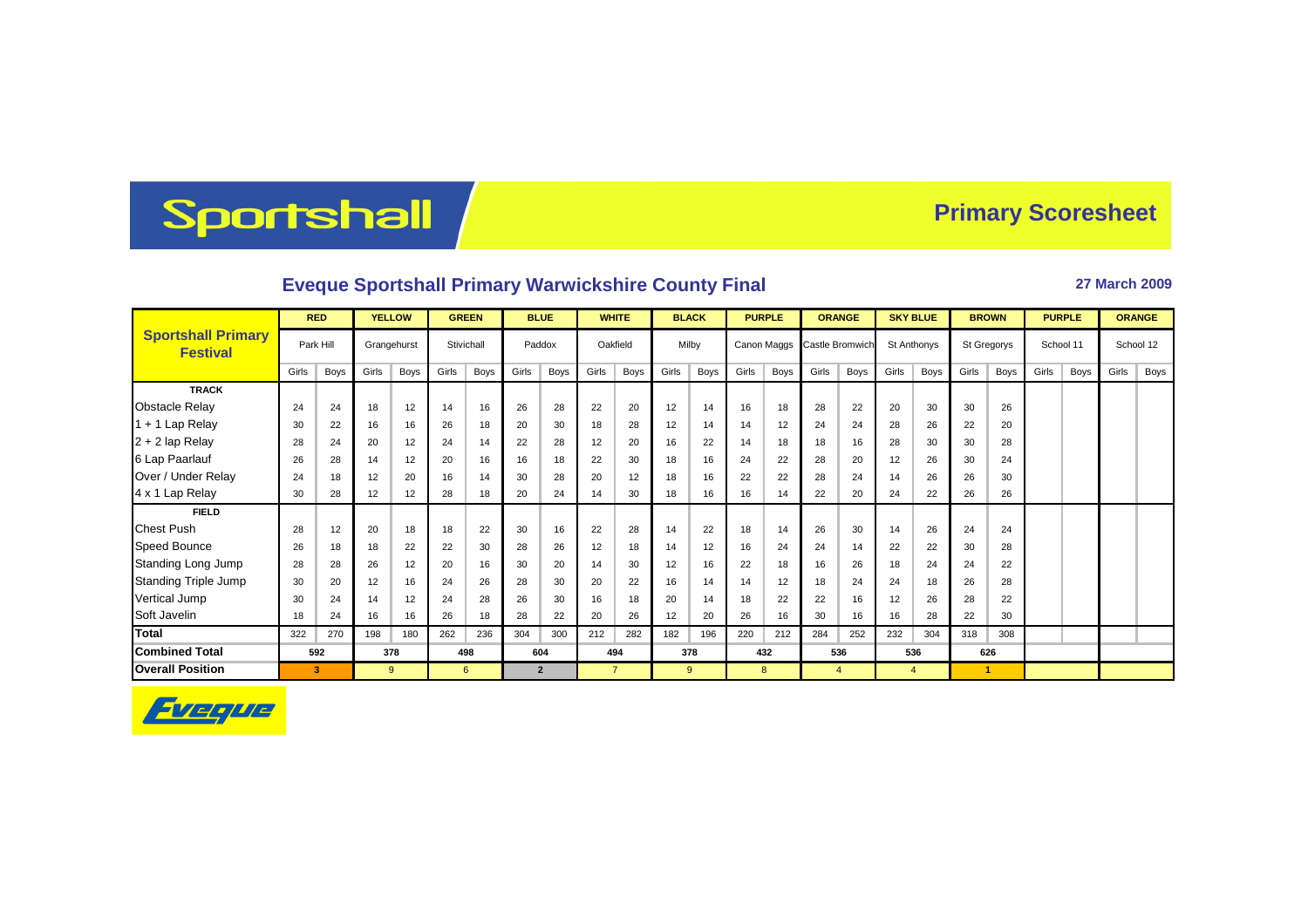## Sportshall

## **Primary Scoresheet**

## **Eveque Sportshall Primary Warwickshire County Final <b>27 March 2009** 27 March 2009

|                                              | <b>RED</b> |             | <b>YELLOW</b> |             | <b>GREEN</b> |            | <b>BLUE</b> |                | <b>WHITE</b> |                | <b>BLACK</b> |             | <b>PURPLE</b> |             | <b>ORANGE</b> |                             | <b>SKY BLUE</b> |                | <b>BROWN</b> |             | <b>PURPLE</b> |           | <b>ORANGE</b> |           |
|----------------------------------------------|------------|-------------|---------------|-------------|--------------|------------|-------------|----------------|--------------|----------------|--------------|-------------|---------------|-------------|---------------|-----------------------------|-----------------|----------------|--------------|-------------|---------------|-----------|---------------|-----------|
| <b>Sportshall Primary</b><br><b>Festival</b> |            | Park Hill   |               | Grangehurst |              | Stivichall |             | Paddox         |              | Oakfield       |              | Milby       |               |             |               | Canon Maggs Castle Bromwich |                 | St Anthonys    |              | St Gregorys |               | School 11 |               | School 12 |
|                                              | Girls      | <b>Boys</b> | Girls         | Boys        | Girls        | Boys       | Girls       | Boys           | Girls        | <b>Boys</b>    | Girls        | <b>Boys</b> | Girls         | <b>Boys</b> | Girls         | Boys                        | Girls           | Boys           | Girls        | Boys        | Girls         | Boys      | Girls         | Boys      |
| <b>TRACK</b>                                 |            |             |               |             |              |            |             |                |              |                |              |             |               |             |               |                             |                 |                |              |             |               |           |               |           |
| <b>Obstacle Relay</b>                        | 24         | 24          | 18            | 12          | 14           | 16         | 26          | 28             | 22           | 20             | 12           | 14          | 16            | 18          | 28            | 22                          | 20              | 30             | 30           | 26          |               |           |               |           |
| 1 + 1 Lap Relay                              | 30         | 22          | 16            | 16          | 26           | 18         | 20          | 30             | 18           | 28             | 12           | 14          | 14            | 12          | 24            | 24                          | 28              | 26             | 22           | 20          |               |           |               |           |
| 2 + 2 lap Relay                              | 28         | 24          | 20            | 12          | 24           | 14         | 22          | 28             | 12           | 20             | 16           | 22          | 14            | 18          | 18            | 16                          | 28              | 30             | 30           | 28          |               |           |               |           |
| 6 Lap Paarlauf                               | 26         | 28          | 14            | 12          | 20           | 16         | 16          | 18             | 22           | 30             | 18           | 16          | 24            | 22          | 28            | 20                          | 12              | 26             | 30           | 24          |               |           |               |           |
| Over / Under Relay                           | 24         | 18          | 12            | 20          | 16           | 14         | 30          | 28             | 20           | 12             | 18           | 16          | 22            | 22          | 28            | 24                          | 14              | 26             | 26           | 30          |               |           |               |           |
| 4 x 1 Lap Relay                              | 30         | 28          | 12            | 12          | 28           | 18         | 20          | 24             | 14           | 30             | 18           | 16          | 16            | 14          | 22            | 20                          | 24              | 22             | 26           | 26          |               |           |               |           |
| <b>FIELD</b>                                 |            |             |               |             |              |            |             |                |              |                |              |             |               |             |               |                             |                 |                |              |             |               |           |               |           |
| <b>Chest Push</b>                            | 28         | 12          | 20            | 18          | 18           | 22         | 30          | 16             | 22           | 28             | 14           | 22          | 18            | 14          | 26            | 30                          | 14              | 26             | 24           | 24          |               |           |               |           |
| Speed Bounce                                 | 26         | 18          | 18            | 22          | 22           | 30         | 28          | 26             | 12           | 18             | 14           | 12          | 16            | 24          | 24            | 14                          | 22              | 22             | 30           | 28          |               |           |               |           |
| Standing Long Jump                           | 28         | 28          | 26            | 12          | 20           | 16         | 30          | 20             | 14           | 30             | 12           | 16          | 22            | 18          | 16            | 26                          | 18              | 24             | 24           | 22          |               |           |               |           |
| Standing Triple Jump                         | 30         | 20          | 12            | 16          | 24           | 26         | 28          | 30             | 20           | 22             | 16           | 14          | 14            | 12          | 18            | 24                          | 24              | 18             | 26           | 28          |               |           |               |           |
| Vertical Jump                                | 30         | 24          | 14            | 12          | 24           | 28         | 26          | 30             | 16           | 18             | 20           | 14          | 18            | 22          | 22            | 16                          | 12              | 26             | 28           | 22          |               |           |               |           |
| Soft Javelin                                 | 18         | 24          | 16            | 16          | 26           | 18         | 28          | 22             | 20           | 26             | 12           | 20          | 26            | 16          | 30            | 16                          | 16              | 28             | 22           | 30          |               |           |               |           |
| <b>Total</b>                                 | 322        | 270         | 198           | 180         | 262          | 236        | 304         | 300            | 212          | 282            | 182          | 196         | 220           | 212         | 284           | 252                         | 232             | 304            | 318          | 308         |               |           |               |           |
| <b>Combined Total</b>                        |            | 592         |               | 378         |              | 498        |             | 604            |              | 494            |              | 378         |               | 432         |               | 536                         |                 | 536            |              | 626         |               |           |               |           |
| <b>Overall Position</b>                      |            | 3           |               | $9^{\circ}$ | 6            |            |             | $\overline{2}$ |              | $\overline{7}$ |              | 9           |               | 8           |               | $\overline{4}$              |                 | $\overline{4}$ |              | 1           |               |           |               |           |

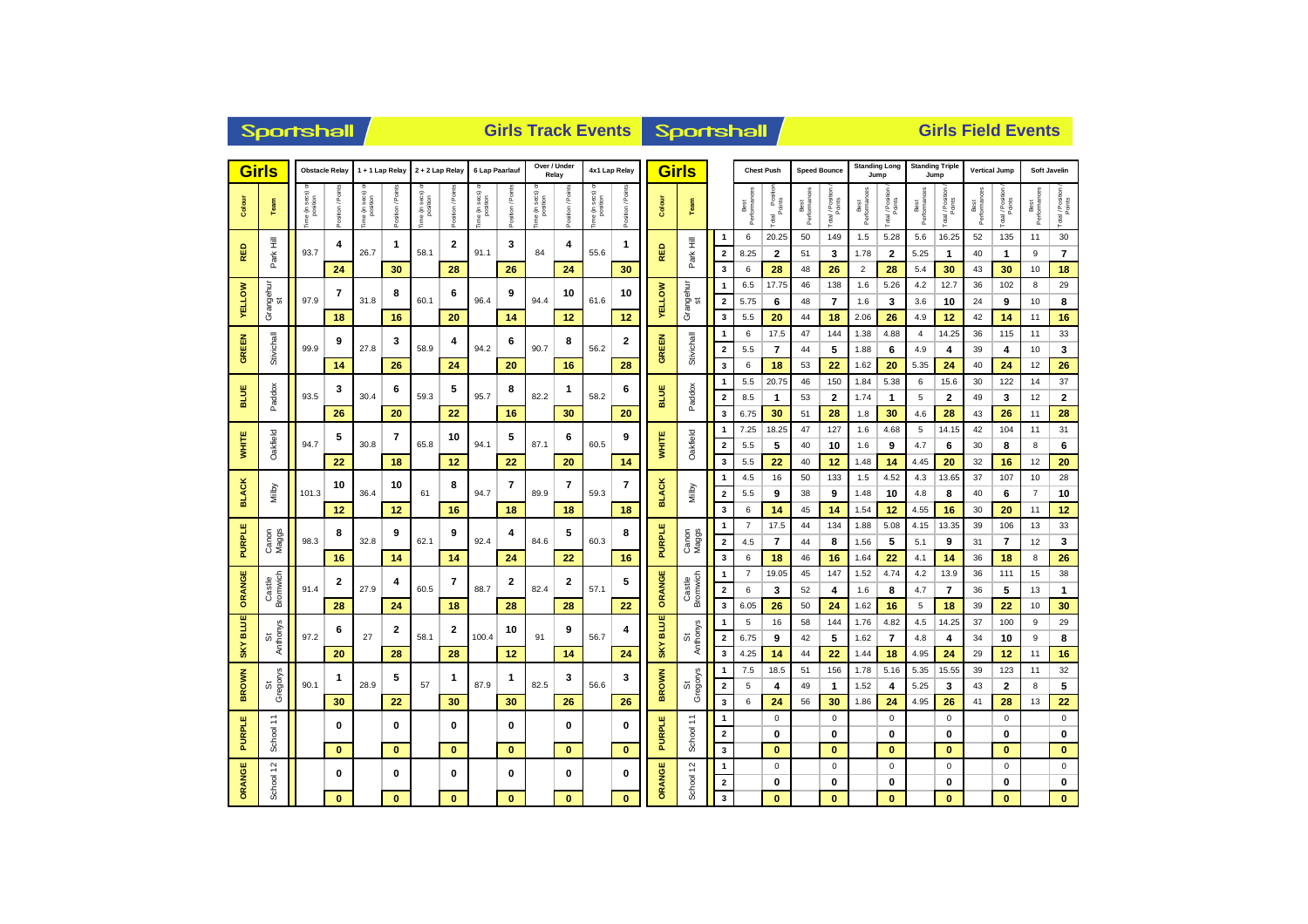|                           | <b>Sportshall</b>                     |                           |                         |                          |                                              | <b>Girls Track Events</b> |                |                          |                  |                                   |                |                 |                   |                     | Sportshall         |                                              |                      |                             |                     | <b>Girls Field Events</b> |                               |                              |                        |                             |                      |                            |                      |                            |  |  |
|---------------------------|---------------------------------------|---------------------------|-------------------------|--------------------------|----------------------------------------------|---------------------------|----------------|--------------------------|------------------|-----------------------------------|----------------|-----------------|-------------------|---------------------|--------------------|----------------------------------------------|----------------------|-----------------------------|---------------------|---------------------------|-------------------------------|------------------------------|------------------------|-----------------------------|----------------------|----------------------------|----------------------|----------------------------|--|--|
|                           | <b>Girls</b><br><b>Obstacle Relay</b> |                           |                         | 1 + 1 Lap Relay          |                                              | 2 + 2 Lap Relay           |                | 6 Lap Paarlauf           |                  | Over / Under<br>Relay             |                | 4x1 Lap Relay   |                   | <b>Girls</b>        |                    | <b>Chest Push</b>                            |                      |                             | <b>Speed Bounce</b> |                           | <b>Standing Long</b><br>Jump  | Jump                         | <b>Standing Triple</b> |                             | <b>Vertical Jump</b> |                            | Soft Javelin         |                            |  |  |
| Colour                    | Team                                  | e (in secs) c<br>position | ă<br>$t$ ion / F        | he (in secs)<br>position | osition / Point                              | e (in secs)<br>position   | ition / Points | ne (in secs)<br>position | Position / Point | sec s)<br>he (in secs<br>position | osition / Poin | ime (in secs) o | Position / Points | Colour              | Team               |                                              | Best<br>Performances | Total Position              | Best<br>Performano  | Total / Position          | Best<br>Performances          | Total / Position             | Best<br>Performances   | Total / Position            | Best<br>Performances | Total / Position<br>Points | Best<br>Performano   | Total / Position           |  |  |
| RED                       | Park Hill                             | 93.7                      | 4<br>24                 | 26.7                     | 1<br>30                                      | 58.1                      | 2<br>28        | 91.1                     | 3<br>26          | 84                                | 4<br>24        | 55.6            | 1<br>30           | RED                 | Park Hill          | $\mathbf{1}$<br>$\overline{\mathbf{2}}$<br>3 | 6<br>8.25<br>6       | 20.25<br>$\mathbf{2}$<br>28 | 50<br>51<br>48      | 149<br>3<br>26            | 1.5<br>1.78<br>$\overline{2}$ | 5.28<br>$\overline{2}$<br>28 | 5.6<br>5.25<br>5.4     | 16.25<br>$\mathbf{1}$<br>30 | 52<br>40<br>43       | 135<br>$\mathbf{1}$<br>30  | 11<br>9<br>10        | 30<br>$\overline{7}$<br>18 |  |  |
| <b>VELLOW</b>             | Grangehur<br>st                       | 97.9                      | $\overline{\mathbf{r}}$ | 31.8                     | 8                                            | 60.1                      | 6              | 96.4                     | 9                | 94.4                              | 10             | 61.6            | 10                | <b>YELLOW</b>       | Grangehur<br>st    | $\mathbf{1}$<br>$\overline{2}$               | 6.5<br>5.75          | 17.75<br>6                  | 46<br>48            | 138<br>$\overline{7}$     | 1.6<br>1.6                    | 5.26<br>3                    | 4.2<br>3.6             | 12.7<br>10                  | 36<br>24             | 102<br>9                   | 8<br>10              | 29<br>8                    |  |  |
|                           |                                       |                           | 18                      |                          | 16                                           |                           | 20             |                          | 14               |                                   | 12             | 12              |                   |                     | 3                  | 5.5                                          | 20                   | 44                          | 18                  | 2.06                      | 26                            | 4.9                          | 12                     | 42                          | 14                   | 11                         | 16                   |                            |  |  |
| <b>GREEN</b>              | Stivichall                            | 99.9                      | 9                       | 27.8                     | 3                                            | 58.9                      | 4              | 94.2                     | 6                | 90.7                              | 8              | 56.2            | 2                 | <b>GREEN</b>        | Stivichall         | 1<br>$\overline{\mathbf{2}}$                 | 6<br>5.5             | 17.5<br>$\overline{7}$      | 47<br>44            | 144<br>5                  | 1.38<br>1.88                  | 4.88<br>6                    | $\overline{4}$<br>4.9  | 14.25<br>4                  | 36<br>39             | 115<br>4                   | 11<br>10             | 33<br>3                    |  |  |
|                           |                                       |                           | 14                      |                          | 26                                           |                           | 24             |                          | 20               |                                   | 16             |                 | 28                |                     |                    | $\overline{\mathbf{3}}$                      | 6                    | 18                          | 53                  | 22                        | 1.62                          | 20                           | 5.35                   | 24                          | 40                   | 24                         | 12                   | 26                         |  |  |
| <b>BLUE</b>               | Paddox                                | 93.5                      | 3                       | 30.4                     | 6                                            | 59.3                      | 5              | 95.7                     | 8                | 82.2                              | 1              | 58.2            | 6                 | BLUE                | Paddox             | $\mathbf{1}$<br>$\overline{\mathbf{2}}$      | 5.5<br>8.5           | 20.75<br>$\mathbf{1}$       | 46<br>53            | 150<br>$\overline{2}$     | 1.84<br>1.74                  | 5.38<br>$\mathbf 1$          | 6<br>5                 | 15.6<br>$\overline{2}$      | 30<br>49             | 122<br>3                   | 14<br>12             | 37<br>$\bf{2}$             |  |  |
|                           |                                       |                           | 26                      |                          | 20                                           |                           | 22             |                          | 16               |                                   | 30             |                 | 20                |                     |                    | $\overline{\mathbf{3}}$                      | 6.75                 | 30                          | 51                  | 28                        | 1.8                           | 30                           | 4.6                    | 28                          | 43                   | 26                         | 11                   | 28                         |  |  |
| <b>WHITE</b>              | Oakfield                              | 94.7                      | 5                       | 30.8                     | 7                                            | 65.8                      | 10             | 94.1                     | 5                | 87.1                              | 6              | 60.5            | 9                 | <b>WHITE</b>        | Oakfield           | $\mathbf{1}$<br>$\overline{2}$               | 7.25<br>5.5          | 18.25<br>5                  | 47<br>40            | 127<br>10                 | 1.6<br>1.6                    | 4.68<br>9                    | 5<br>4.7               | 14.15<br>6                  | 42<br>30             | 104<br>8                   | 11<br>8              | 31<br>6                    |  |  |
|                           |                                       |                           | 22                      |                          | 18                                           |                           | 12             |                          | 22               |                                   | 20             |                 | 14                |                     |                    | 3                                            | 5.5                  | 22                          | 40                  | 12                        | 1.48                          | 14                           | 4.45                   | 20                          | 32                   | 16                         | 12                   | 20                         |  |  |
| <b>BLACK</b>              | Milby                                 | 101.3                     | 10                      | 36.4                     | 10                                           | 61                        | 8              | 94.7                     | 7                | 89.9                              | 7              | 59.3            | $\overline{7}$    | <b>BLACK</b>        | Milby              | $\mathbf{1}$<br>$\overline{\mathbf{2}}$      | 4.5<br>5.5           | 16<br>9                     | 50<br>38            | 133<br>9                  | 1.5<br>1.48                   | 4.52<br>10                   | 4.3<br>4.8             | 13.65<br>8                  | 37<br>40             | 107<br>6                   | 10<br>$\overline{7}$ | 28<br>10                   |  |  |
|                           |                                       |                           | 12                      |                          | 12                                           |                           | 16             |                          | 18               |                                   | 18             |                 | 18                |                     |                    | 3                                            | 6                    | 14                          | 45                  | 14                        | 1.54                          | 12                           | 4.55                   | 16                          | 30                   | 20                         | 11                   | 12                         |  |  |
|                           |                                       |                           | 8                       | 9                        |                                              |                           | 9              |                          | 4                |                                   | 5              |                 | 8                 |                     |                    | $\overline{1}$                               | $\overline{7}$       | 17.5                        | 44                  | 134                       | 1.88                          | 5.08                         | 4.15                   | 13.35                       | 39                   | 106                        | 13                   | 33                         |  |  |
| <b>PURPLE</b>             | Canon<br>Maggs                        | 98.3                      |                         |                          | 32.8                                         | 62.1                      |                | 92.4                     |                  | 84.6                              |                | 60.3            |                   | <b>PURPLE</b>       | Canon<br>Maggs     | $\overline{\mathbf{2}}$                      | 4.5                  | $\overline{7}$              | 44                  | 8                         | 1.56                          | 5                            | 5.1                    | 9                           | 31                   | $\overline{7}$             | 12                   | 3                          |  |  |
|                           |                                       |                           | 16                      |                          | 14                                           |                           | 14             |                          | 24               |                                   | 22             |                 | 16                |                     |                    | $\overline{\mathbf{3}}$                      | 6                    | 18                          | 46                  | 16                        | 1.64                          | 22                           | 4.1                    | 14                          | 36                   | 18                         | 8                    | 26<br>38                   |  |  |
|                           |                                       | 91.4                      | 2                       | 27.9                     | 4                                            | 60.5                      | 7              | 88.7                     | 2                | 82.4                              | 2              | 57.1            | 5                 | ORANGE              |                    | 1<br>$\overline{\mathbf{2}}$                 | $\overline{7}$<br>6  | 19.05<br>3                  | 45<br>52            | 147<br>4                  | 1.52<br>1.6                   | 4.74<br>8                    | 4.2<br>4.7             | 13.9<br>$\overline{7}$      | 36<br>36             | 111<br>5                   | 15<br>13             | 1                          |  |  |
| ORANGE                    | Castle<br>Bromwich                    |                           | 28                      |                          | 24                                           |                           | 18             |                          | 28               |                                   | 28             |                 | 22                |                     | Castle<br>Bromwich | $\overline{\mathbf{3}}$                      | 6.05                 | 26                          | 50                  | 24                        | 1.62                          | 16                           | 5                      | 18                          | 39                   | 22                         | 10                   | 30                         |  |  |
|                           |                                       |                           |                         |                          |                                              |                           |                |                          |                  |                                   |                |                 |                   |                     |                    | $\mathbf{1}$                                 | 5                    | 16                          | 58                  | 144                       | 1.76                          | 4.82                         | 4.5                    | 14.25                       | 37                   | 100                        | 9                    | 29                         |  |  |
| <b>BLUE</b><br><b>SKY</b> | St<br>Anthonys                        | 97.2                      | 6                       | 27                       | 2                                            | 58.1                      | 2              | 100.4                    | 10               | 91                                | 9              | 56.7            | 4                 | <b>BLUE</b><br>SKY. | St<br>Anthonys     | $\overline{\mathbf{2}}$                      | 6.75                 | 9                           | 42                  | 5                         | 1.62                          | $\overline{7}$               | 4.8                    | 4                           | 34                   | 10                         | 9                    | 8                          |  |  |
|                           |                                       |                           | 20                      |                          | 28                                           |                           | 28             |                          | 12               |                                   | 14             |                 | 24                |                     |                    | $\overline{\mathbf{3}}$                      | 4.25                 | 14                          | 44                  | 22<br>156                 | 1.44                          | 18                           | 4.95                   | 24                          | 29                   | 12                         | 11                   | 16<br>32                   |  |  |
| <b>BROWN</b>              | St<br>Gregorys                        | 90.1                      | $\mathbf 1$             | 28.9                     | 5                                            | 57                        | 1              | 87.9                     | $\mathbf{1}$     | 82.5                              | 3              | 56.6            | 3                 | <b>BROWN</b>        | Gregorys<br>ö      | 1<br>$\overline{\mathbf{2}}$                 | 7.5<br>5             | 18.5<br>4                   | 51<br>49            | $\mathbf{1}$              | 1.78<br>1.52                  | 5.16<br>4                    | 5.35<br>5.25           | 15.55<br>3                  | 39<br>43             | 123<br>$\overline{2}$      | 11<br>8              | 5                          |  |  |
|                           |                                       |                           | 30                      |                          | 22                                           |                           | 30             |                          | 30               |                                   | 26             |                 | 26                |                     |                    | 3                                            | 6                    | 24                          | 56                  | 30                        | 1.86                          | 24                           | 4.95                   | 26                          | 41                   | 28                         | 13                   | 22                         |  |  |
|                           | ż                                     |                           |                         |                          |                                              |                           |                |                          |                  |                                   |                |                 |                   |                     | ÷.                 | $\mathbf{1}$                                 |                      | $\mathsf 0$                 |                     | $\mathsf 0$               |                               | $\pmb{0}$                    |                        | $\pmb{0}$                   |                      | $\mathsf 0$                |                      | $\mathsf 0$                |  |  |
| <b>PURPLE</b>             | School                                |                           | 0                       |                          | $\mathbf 0$<br>0<br>$\bf{0}$<br>$\mathbf{0}$ |                           |                |                          | 0                |                                   | 0              |                 | 0                 | <b>PURPLE</b>       |                    | $\mathbf 2$                                  |                      | $\bf{0}$                    |                     | $\bf{0}$                  |                               | $\bf{0}$                     |                        | $\mathbf 0$                 |                      | $\bf{0}$                   |                      | $\mathbf 0$                |  |  |
|                           |                                       |                           | $\bf{0}$                |                          |                                              |                           | $\bf{0}$       |                          | $\mathbf{0}$     |                                   | $\mathbf{0}$   |                 | School -          | $\mathbf{3}$        |                    | $\bf{0}$                                     |                      | $\mathbf{0}$                |                     | $\bf{0}$                  |                               | $\mathbf{0}$                 |                        | $\bf{0}$                    |                      | $\mathbf{0}$               |                      |                            |  |  |
|                           |                                       |                           | 0                       |                          | $\bf{0}$                                     |                           | 0              |                          | $\bf{0}$         |                                   | 0              |                 | 0                 |                     |                    | 1                                            |                      | $\mathbf 0$                 |                     | $\mathbf 0$               |                               | $\mathbf 0$                  |                        | $\mathbf 0$                 |                      | $\mathbf 0$                |                      | $\mathbf 0$                |  |  |
| ORANGE                    | School 12                             |                           |                         |                          |                                              |                           |                |                          |                  |                                   |                |                 |                   | ORANGE              | School 12          | $\overline{2}$                               |                      | $\bf{0}$                    |                     | $\bf{0}$                  |                               | 0                            |                        | $\mathbf 0$                 |                      | $\bf{0}$                   |                      | $\mathbf 0$                |  |  |
|                           |                                       |                           | $\bf{0}$                |                          | $\bf{0}$                                     |                           | $\bf{0}$       |                          | $\bf{0}$         |                                   | $\bf{0}$       |                 | $\bf{0}$          |                     |                    | $\mathbf{3}$                                 |                      | $\mathbf{0}$                |                     | $\bf{0}$                  |                               | $\bf{0}$                     |                        | $\mathbf{0}$                |                      | $\bf{0}$                   |                      | $\mathbf{0}$               |  |  |